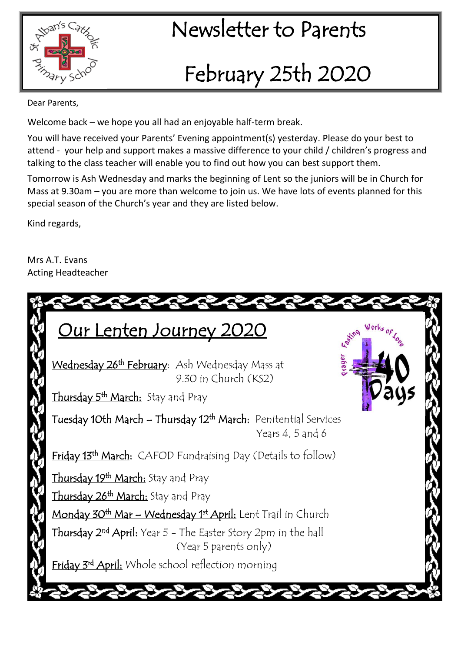

## <sup>pan's Ca</sup>z **Newsletter to Parents**

# February 25th 2020

Dear Parents,

Welcome back – we hope you all had an enjoyable half-term break.

You will have received your Parents' Evening appointment(s) yesterday. Please do your best to attend - your help and support makes a massive difference to your child / children's progress and talking to the class teacher will enable you to find out how you can best support them.

Tomorrow is Ash Wednesday and marks the beginning of Lent so the juniors will be in Church for Mass at 9.30am – you are more than welcome to join us. We have lots of events planned for this special season of the Church's year and they are listed below.

Kind regards,

Mrs A.T. Evans Acting Headteacher